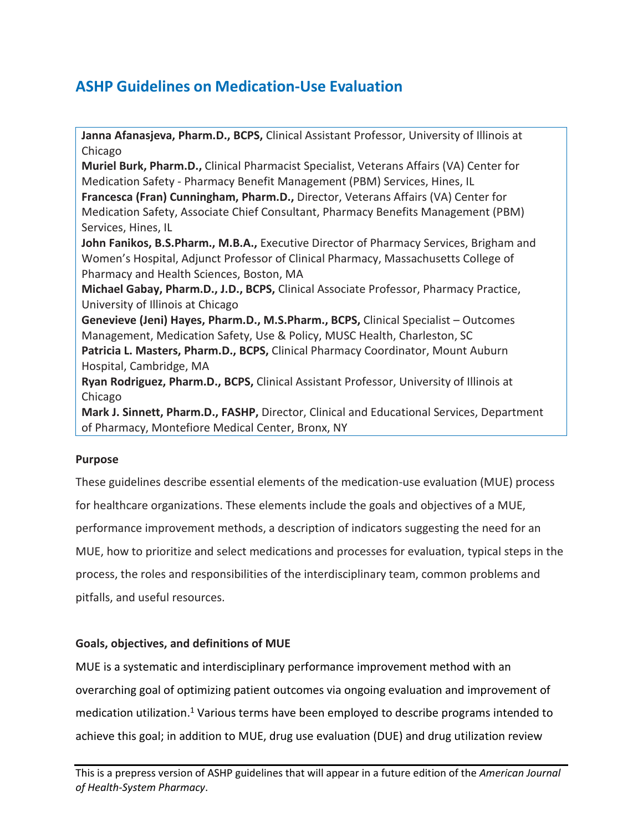# **ASHP Guidelines on Medication-Use Evaluation**

**Janna Afanasjeva, Pharm.D., BCPS,** Clinical Assistant Professor, University of Illinois at Chicago **Muriel Burk, Pharm.D.,** Clinical Pharmacist Specialist, Veterans Affairs (VA) Center for Medication Safety - Pharmacy Benefit Management (PBM) Services, Hines, IL **Francesca (Fran) Cunningham, Pharm.D.,** Director, Veterans Affairs (VA) Center for Medication Safety, Associate Chief Consultant, Pharmacy Benefits Management (PBM) Services, Hines, IL **John Fanikos, B.S.Pharm., M.B.A.,** Executive Director of Pharmacy Services, Brigham and Women's Hospital, Adjunct Professor of Clinical Pharmacy, Massachusetts College of Pharmacy and Health Sciences, Boston, MA **Michael Gabay, Pharm.D., J.D., BCPS,** Clinical Associate Professor, Pharmacy Practice, University of Illinois at Chicago **Genevieve (Jeni) Hayes, Pharm.D., M.S.Pharm., BCPS,** Clinical Specialist – Outcomes Management, Medication Safety, Use & Policy, MUSC Health, Charleston, SC **Patricia L. Masters, Pharm.D., BCPS,** Clinical Pharmacy Coordinator, Mount Auburn Hospital, Cambridge, MA **Ryan Rodriguez, Pharm.D., BCPS,** Clinical Assistant Professor, University of Illinois at Chicago **Mark J. Sinnett, Pharm.D., FASHP,** Director, Clinical and Educational Services, Department of Pharmacy, Montefiore Medical Center, Bronx, NY

# **Purpose**

These guidelines describe essential elements of the medication-use evaluation (MUE) process for healthcare organizations. These elements include the goals and objectives of a MUE, performance improvement methods, a description of indicators suggesting the need for an MUE, how to prioritize and select medications and processes for evaluation, typical steps in the process, the roles and responsibilities of the interdisciplinary team, common problems and pitfalls, and useful resources.

# **Goals, objectives, and definitions of MUE**

MUE is a systematic and interdisciplinary performance improvement method with an overarching goal of optimizing patient outcomes via ongoing evaluation and improvement of medication utilization.<sup>1</sup> Various terms have been employed to describe programs intended to achieve this goal; in addition to MUE, drug use evaluation (DUE) and drug utilization review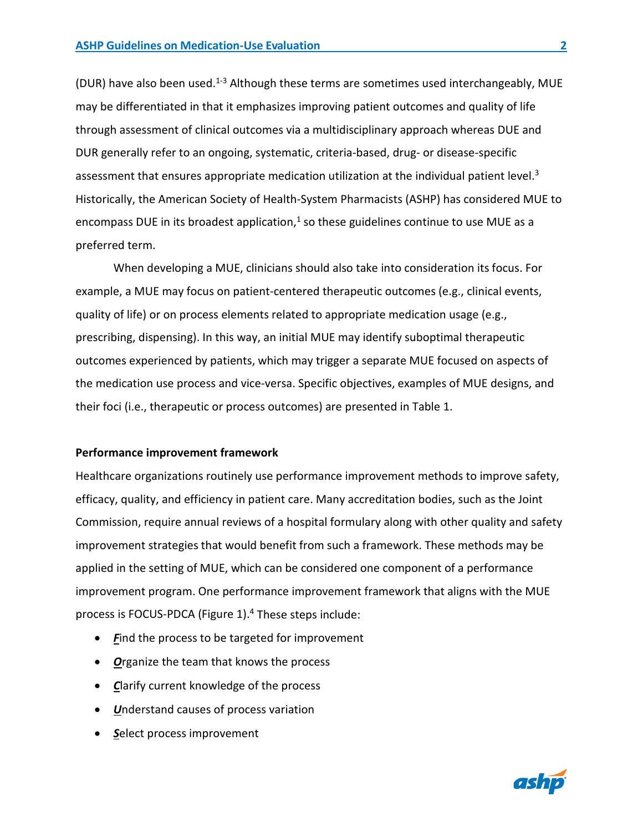(DUR) have also been used.<sup>1-3</sup> Although these terms are sometimes used interchangeably, MUE may be differentiated in that it emphasizes improving patient outcomes and quality of life through assessment of clinical outcomes via a multidisciplinary approach whereas DUE and DUR generally refer to an ongoing, systematic, criteria-based, drug- or disease-specific assessment that ensures appropriate medication utilization at the individual patient level.<sup>3</sup> Historically, the American Society of Health-System Pharmacists (ASHP) has considered MUE to encompass DUE in its broadest application, $1$  so these guidelines continue to use MUE as a preferred term.

When developing a MUE, clinicians should also take into consideration its focus. For example, a MUE may focus on patient-centered therapeutic outcomes (e.g., clinical events, quality of life) or on process elements related to appropriate medication usage (e.g., prescribing, dispensing). In this way, an initial MUE may identify suboptimal therapeutic outcomes experienced by patients, which may trigger a separate MUE focused on aspects of the medication use process and vice-versa. Specific objectives, examples of MUE designs, and their foci (i.e., therapeutic or process outcomes) are presented in Table 1.

#### **Performance improvement framework**

Healthcare organizations routinely use performance improvement methods to improve safety, efficacy, quality, and efficiency in patient care. Many accreditation bodies, such as the Joint Commission, require annual reviews of a hospital formulary along with other quality and safety improvement strategies that would benefit from such a framework. These methods may be applied in the setting of MUE, which can be considered one component of a performance improvement program. One performance improvement framework that aligns with the MUE process is FOCUS-PDCA (Figure 1). $4$  These steps include:

- Find the process to be targeted for improvement
- *O*rganize the team that knows the process
- *C*larify current knowledge of the process
- *U*nderstand causes of process variation
- *S*elect process improvement

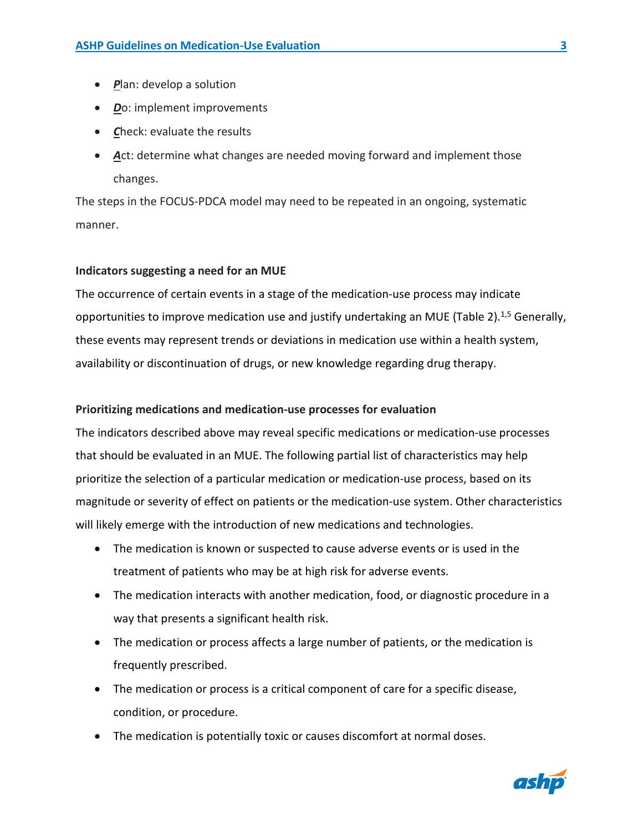- *P*lan: develop a solution
- *D*o: implement improvements
- *C*heck: evaluate the results
- **Act: determine what changes are needed moving forward and implement those** changes.

The steps in the FOCUS-PDCA model may need to be repeated in an ongoing, systematic manner.

## **Indicators suggesting a need for an MUE**

The occurrence of certain events in a stage of the medication-use process may indicate opportunities to improve medication use and justify undertaking an MUE (Table 2).<sup>1,5</sup> Generally, these events may represent trends or deviations in medication use within a health system, availability or discontinuation of drugs, or new knowledge regarding drug therapy.

## **Prioritizing medications and medication-use processes for evaluation**

The indicators described above may reveal specific medications or medication-use processes that should be evaluated in an MUE. The following partial list of characteristics may help prioritize the selection of a particular medication or medication-use process, based on its magnitude or severity of effect on patients or the medication-use system. Other characteristics will likely emerge with the introduction of new medications and technologies.

- The medication is known or suspected to cause adverse events or is used in the treatment of patients who may be at high risk for adverse events.
- The medication interacts with another medication, food, or diagnostic procedure in a way that presents a significant health risk.
- The medication or process affects a large number of patients, or the medication is frequently prescribed.
- The medication or process is a critical component of care for a specific disease, condition, or procedure.
- The medication is potentially toxic or causes discomfort at normal doses.

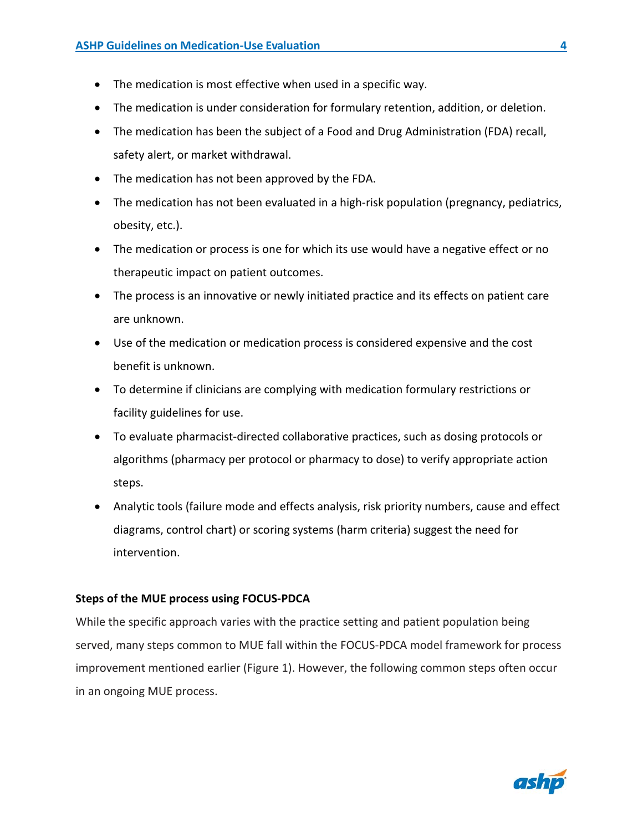- The medication is most effective when used in a specific way.
- The medication is under consideration for formulary retention, addition, or deletion.
- The medication has been the subject of a Food and Drug Administration (FDA) recall, safety alert, or market withdrawal.
- The medication has not been approved by the FDA.
- The medication has not been evaluated in a high-risk population (pregnancy, pediatrics, obesity, etc.).
- The medication or process is one for which its use would have a negative effect or no therapeutic impact on patient outcomes.
- The process is an innovative or newly initiated practice and its effects on patient care are unknown.
- Use of the medication or medication process is considered expensive and the cost benefit is unknown.
- To determine if clinicians are complying with medication formulary restrictions or facility guidelines for use.
- To evaluate pharmacist-directed collaborative practices, such as dosing protocols or algorithms (pharmacy per protocol or pharmacy to dose) to verify appropriate action steps.
- Analytic tools (failure mode and effects analysis, risk priority numbers, cause and effect diagrams, control chart) or scoring systems (harm criteria) suggest the need for intervention.

# **Steps of the MUE process using FOCUS-PDCA**

While the specific approach varies with the practice setting and patient population being served, many steps common to MUE fall within the FOCUS-PDCA model framework for process improvement mentioned earlier (Figure 1). However, the following common steps often occur in an ongoing MUE process.

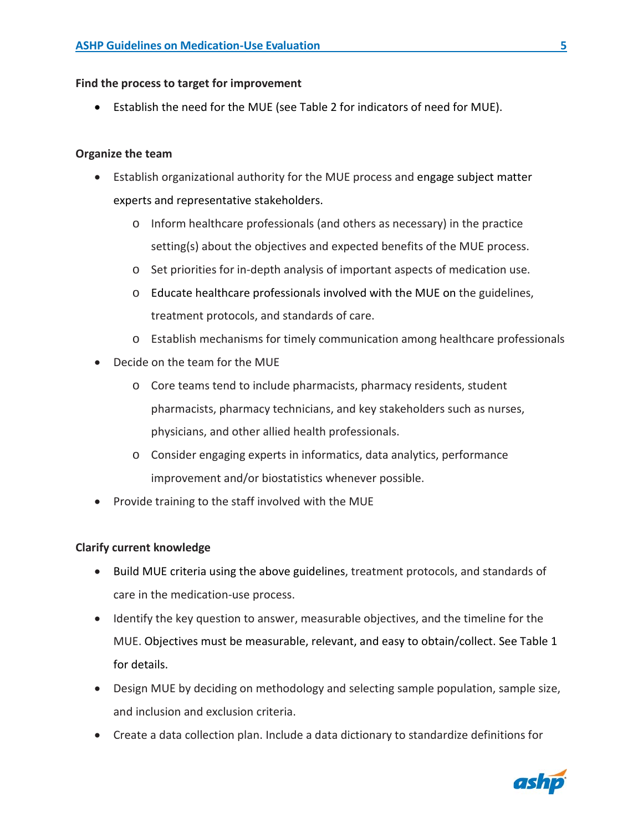## **Find the process to target for improvement**

• Establish the need for the MUE (see Table 2 for indicators of need for MUE).

## **Organize the team**

- Establish organizational authority for the MUE process and engage subject matter experts and representative stakeholders.
	- o Inform healthcare professionals (and others as necessary) in the practice setting(s) about the objectives and expected benefits of the MUE process.
	- o Set priorities for in-depth analysis of important aspects of medication use.
	- $\circ$  Educate healthcare professionals involved with the MUE on the guidelines, treatment protocols, and standards of care.
	- o Establish mechanisms for timely communication among healthcare professionals
- Decide on the team for the MUE
	- o Core teams tend to include pharmacists, pharmacy residents, student pharmacists, pharmacy technicians, and key stakeholders such as nurses, physicians, and other allied health professionals.
	- o Consider engaging experts in informatics, data analytics, performance improvement and/or biostatistics whenever possible.
- Provide training to the staff involved with the MUE

#### **Clarify current knowledge**

- Build MUE criteria using the above guidelines, treatment protocols, and standards of care in the medication-use process.
- Identify the key question to answer, measurable objectives, and the timeline for the MUE. Objectives must be measurable, relevant, and easy to obtain/collect. See Table 1 for details.
- Design MUE by deciding on methodology and selecting sample population, sample size, and inclusion and exclusion criteria.
- Create a data collection plan. Include a data dictionary to standardize definitions for

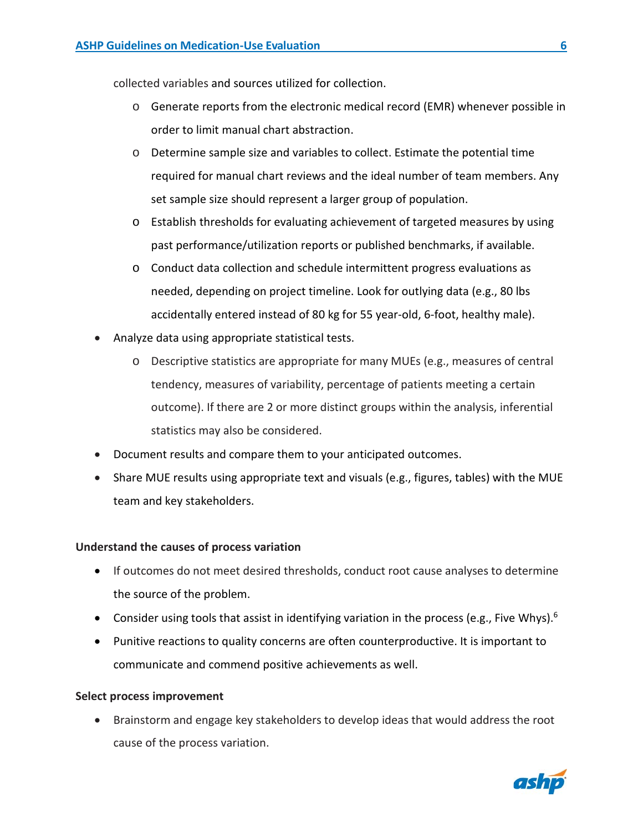collected variables and sources utilized for collection.

- o Generate reports from the electronic medical record (EMR) whenever possible in order to limit manual chart abstraction.
- $\circ$  Determine sample size and variables to collect. Estimate the potential time required for manual chart reviews and the ideal number of team members. Any set sample size should represent a larger group of population.
- o Establish thresholds for evaluating achievement of targeted measures by using past performance/utilization reports or published benchmarks, if available.
- o Conduct data collection and schedule intermittent progress evaluations as needed, depending on project timeline. Look for outlying data (e.g., 80 lbs accidentally entered instead of 80 kg for 55 year-old, 6-foot, healthy male).
- Analyze data using appropriate statistical tests.
	- o Descriptive statistics are appropriate for many MUEs (e.g., measures of central tendency, measures of variability, percentage of patients meeting a certain outcome). If there are 2 or more distinct groups within the analysis, inferential statistics may also be considered.
- Document results and compare them to your anticipated outcomes.
- Share MUE results using appropriate text and visuals (e.g., figures, tables) with the MUE team and key stakeholders.

#### **Understand the causes of process variation**

- If outcomes do not meet desired thresholds, conduct root cause analyses to determine the source of the problem.
- Consider using tools that assist in identifying variation in the process (e.g., Five Whys).<sup>6</sup>
- Punitive reactions to quality concerns are often counterproductive. It is important to communicate and commend positive achievements as well.

#### **Select process improvement**

• Brainstorm and engage key stakeholders to develop ideas that would address the root cause of the process variation.



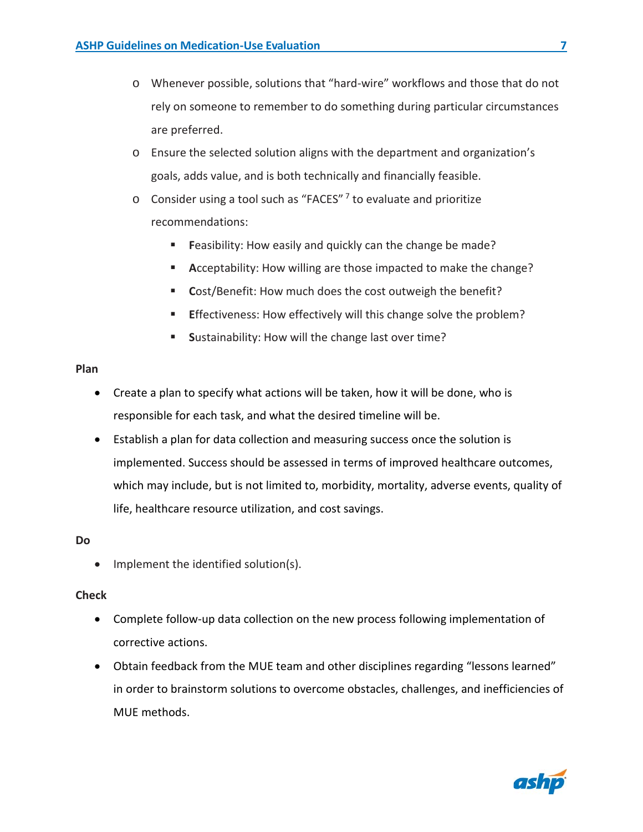- o Whenever possible, solutions that "hard-wire" workflows and those that do not rely on someone to remember to do something during particular circumstances are preferred.
- o Ensure the selected solution aligns with the department and organization's goals, adds value, and is both technically and financially feasible.
- $\circ$  Consider using a tool such as "FACES" <sup>7</sup> to evaluate and prioritize recommendations:
	- **Feasibility: How easily and quickly can the change be made?**
	- **Acceptability: How willing are those impacted to make the change?**
	- **Cost/Benefit: How much does the cost outweigh the benefit?**
	- **Effectiveness: How effectively will this change solve the problem?**
	- **Sustainability: How will the change last over time?**

#### **Plan**

- Create a plan to specify what actions will be taken, how it will be done, who is responsible for each task, and what the desired timeline will be.
- Establish a plan for data collection and measuring success once the solution is implemented. Success should be assessed in terms of improved healthcare outcomes, which may include, but is not limited to, morbidity, mortality, adverse events, quality of life, healthcare resource utilization, and cost savings.

#### **Do**

• Implement the identified solution(s).

#### **Check**

- Complete follow-up data collection on the new process following implementation of corrective actions.
- Obtain feedback from the MUE team and other disciplines regarding "lessons learned" in order to brainstorm solutions to overcome obstacles, challenges, and inefficiencies of MUE methods.

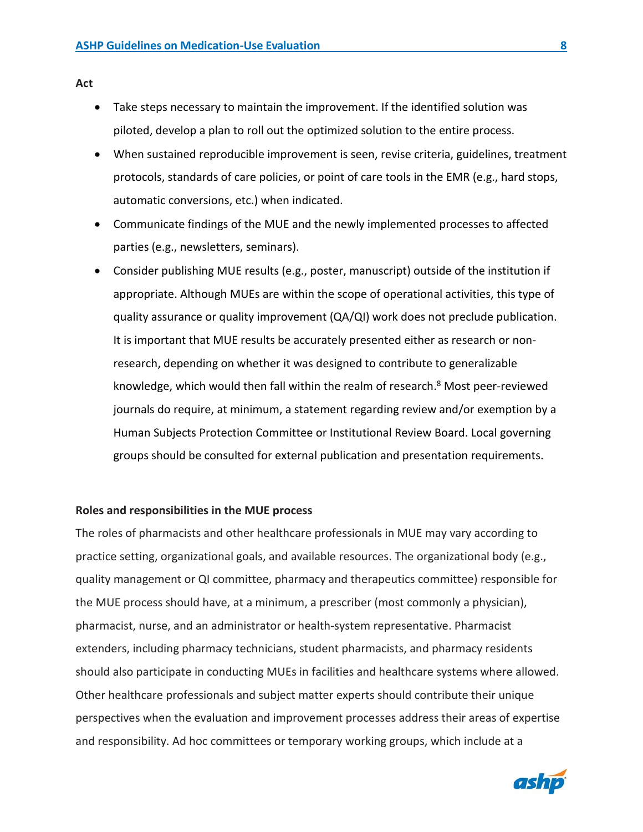**Act**

- Take steps necessary to maintain the improvement. If the identified solution was piloted, develop a plan to roll out the optimized solution to the entire process.
- When sustained reproducible improvement is seen, revise criteria, guidelines, treatment protocols, standards of care policies, or point of care tools in the EMR (e.g., hard stops, automatic conversions, etc.) when indicated.
- Communicate findings of the MUE and the newly implemented processes to affected parties (e.g., newsletters, seminars).
- Consider publishing MUE results (e.g., poster, manuscript) outside of the institution if appropriate. Although MUEs are within the scope of operational activities, this type of quality assurance or quality improvement (QA/QI) work does not preclude publication. It is important that MUE results be accurately presented either as research or nonresearch, depending on whether it was designed to contribute to generalizable knowledge, which would then fall within the realm of research.<sup>8</sup> Most peer-reviewed journals do require, at minimum, a statement regarding review and/or exemption by a Human Subjects Protection Committee or Institutional Review Board. Local governing groups should be consulted for external publication and presentation requirements.

#### **Roles and responsibilities in the MUE process**

The roles of pharmacists and other healthcare professionals in MUE may vary according to practice setting, organizational goals, and available resources. The organizational body (e.g., quality management or QI committee, pharmacy and therapeutics committee) responsible for the MUE process should have, at a minimum, a prescriber (most commonly a physician), pharmacist, nurse, and an administrator or health-system representative. Pharmacist extenders, including pharmacy technicians, student pharmacists, and pharmacy residents should also participate in conducting MUEs in facilities and healthcare systems where allowed. Other healthcare professionals and subject matter experts should contribute their unique perspectives when the evaluation and improvement processes address their areas of expertise and responsibility. Ad hoc committees or temporary working groups, which include at a



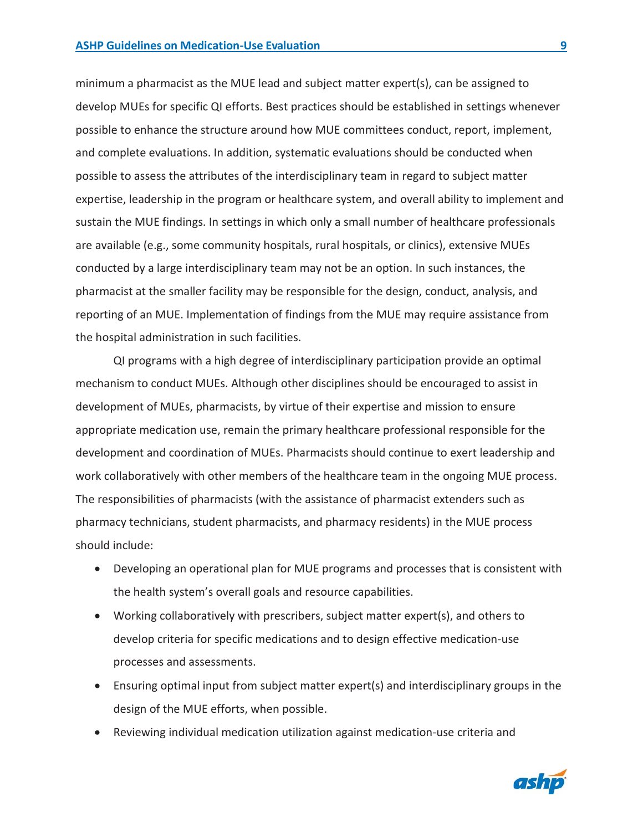minimum a pharmacist as the MUE lead and subject matter expert(s), can be assigned to develop MUEs for specific QI efforts. Best practices should be established in settings whenever possible to enhance the structure around how MUE committees conduct, report, implement, and complete evaluations. In addition, systematic evaluations should be conducted when possible to assess the attributes of the interdisciplinary team in regard to subject matter expertise, leadership in the program or healthcare system, and overall ability to implement and sustain the MUE findings. In settings in which only a small number of healthcare professionals are available (e.g., some community hospitals, rural hospitals, or clinics), extensive MUEs conducted by a large interdisciplinary team may not be an option. In such instances, the pharmacist at the smaller facility may be responsible for the design, conduct, analysis, and reporting of an MUE. Implementation of findings from the MUE may require assistance from the hospital administration in such facilities.

QI programs with a high degree of interdisciplinary participation provide an optimal mechanism to conduct MUEs. Although other disciplines should be encouraged to assist in development of MUEs, pharmacists, by virtue of their expertise and mission to ensure appropriate medication use, remain the primary healthcare professional responsible for the development and coordination of MUEs. Pharmacists should continue to exert leadership and work collaboratively with other members of the healthcare team in the ongoing MUE process. The responsibilities of pharmacists (with the assistance of pharmacist extenders such as pharmacy technicians, student pharmacists, and pharmacy residents) in the MUE process should include:

- Developing an operational plan for MUE programs and processes that is consistent with the health system's overall goals and resource capabilities.
- Working collaboratively with prescribers, subject matter expert(s), and others to develop criteria for specific medications and to design effective medication-use processes and assessments.
- Ensuring optimal input from subject matter expert(s) and interdisciplinary groups in the design of the MUE efforts, when possible.
- Reviewing individual medication utilization against medication-use criteria and

ashp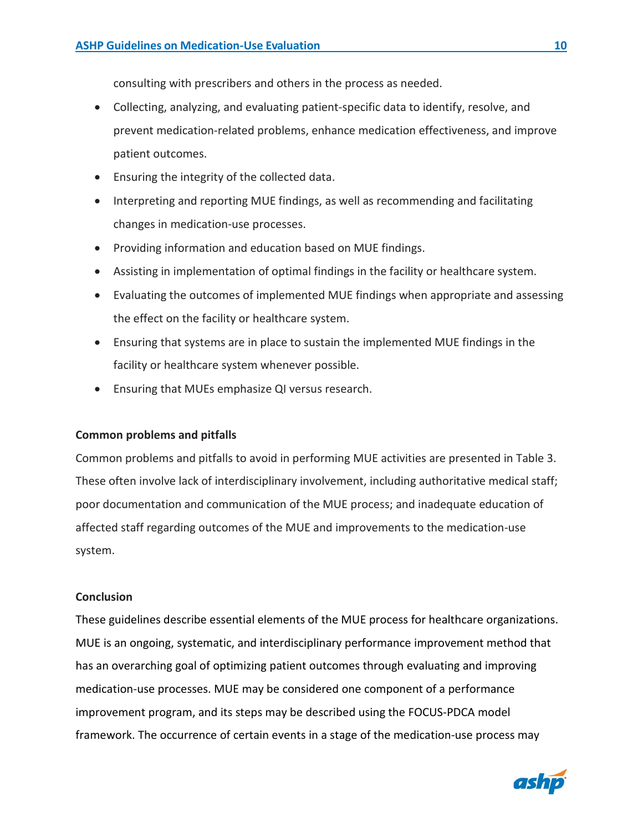consulting with prescribers and others in the process as needed.

- Collecting, analyzing, and evaluating patient-specific data to identify, resolve, and prevent medication-related problems, enhance medication effectiveness, and improve patient outcomes.
- Ensuring the integrity of the collected data.
- Interpreting and reporting MUE findings, as well as recommending and facilitating changes in medication-use processes.
- Providing information and education based on MUE findings.
- Assisting in implementation of optimal findings in the facility or healthcare system.
- Evaluating the outcomes of implemented MUE findings when appropriate and assessing the effect on the facility or healthcare system.
- Ensuring that systems are in place to sustain the implemented MUE findings in the facility or healthcare system whenever possible.
- Ensuring that MUEs emphasize QI versus research.

# **Common problems and pitfalls**

Common problems and pitfalls to avoid in performing MUE activities are presented in Table 3. These often involve lack of interdisciplinary involvement, including authoritative medical staff; poor documentation and communication of the MUE process; and inadequate education of affected staff regarding outcomes of the MUE and improvements to the medication-use system.

# **Conclusion**

These guidelines describe essential elements of the MUE process for healthcare organizations. MUE is an ongoing, systematic, and interdisciplinary performance improvement method that has an overarching goal of optimizing patient outcomes through evaluating and improving medication-use processes. MUE may be considered one component of a performance improvement program, and its steps may be described using the FOCUS-PDCA model framework. The occurrence of certain events in a stage of the medication-use process may



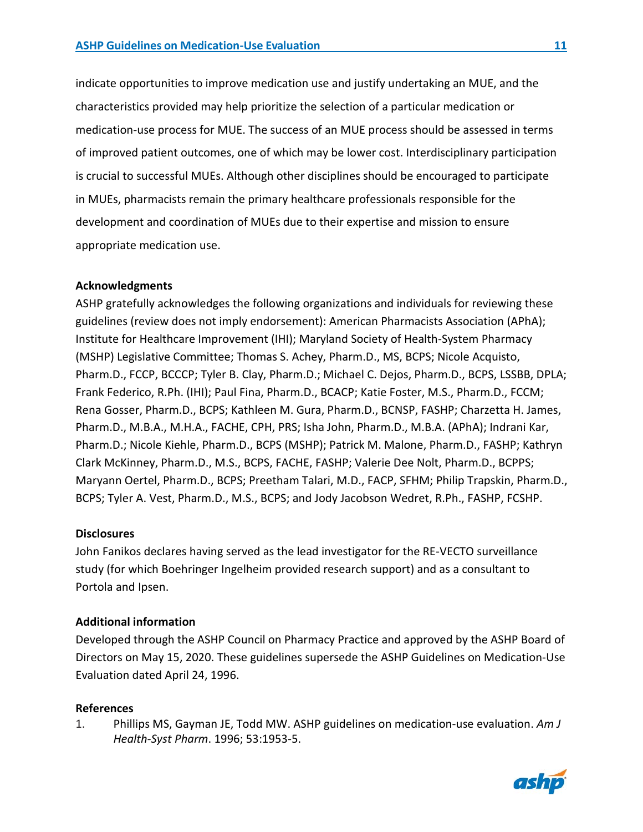indicate opportunities to improve medication use and justify undertaking an MUE, and the characteristics provided may help prioritize the selection of a particular medication or medication-use process for MUE. The success of an MUE process should be assessed in terms of improved patient outcomes, one of which may be lower cost. Interdisciplinary participation is crucial to successful MUEs. Although other disciplines should be encouraged to participate in MUEs, pharmacists remain the primary healthcare professionals responsible for the development and coordination of MUEs due to their expertise and mission to ensure appropriate medication use.

# **Acknowledgments**

ASHP gratefully acknowledges the following organizations and individuals for reviewing these guidelines (review does not imply endorsement): American Pharmacists Association (APhA); Institute for Healthcare Improvement (IHI); Maryland Society of Health-System Pharmacy (MSHP) Legislative Committee; Thomas S. Achey, Pharm.D., MS, BCPS; Nicole Acquisto, Pharm.D., FCCP, BCCCP; Tyler B. Clay, Pharm.D.; Michael C. Dejos, Pharm.D., BCPS, LSSBB, DPLA; Frank Federico, R.Ph. (IHI); Paul Fina, Pharm.D., BCACP; Katie Foster, M.S., Pharm.D., FCCM; Rena Gosser, Pharm.D., BCPS; Kathleen M. Gura, Pharm.D., BCNSP, FASHP; Charzetta H. James, Pharm.D., M.B.A., M.H.A., FACHE, CPH, PRS; Isha John, Pharm.D., M.B.A. (APhA); Indrani Kar, Pharm.D.; Nicole Kiehle, Pharm.D., BCPS (MSHP); Patrick M. Malone, Pharm.D., FASHP; Kathryn Clark McKinney, Pharm.D., M.S., BCPS, FACHE, FASHP; Valerie Dee Nolt, Pharm.D., BCPPS; Maryann Oertel, Pharm.D., BCPS; Preetham Talari, M.D., FACP, SFHM; Philip Trapskin, Pharm.D., BCPS; Tyler A. Vest, Pharm.D., M.S., BCPS; and Jody Jacobson Wedret, R.Ph., FASHP, FCSHP.

# **Disclosures**

John Fanikos declares having served as the lead investigator for the RE-VECTO surveillance study (for which Boehringer Ingelheim provided research support) and as a consultant to Portola and Ipsen.

# **Additional information**

Developed through the ASHP Council on Pharmacy Practice and approved by the ASHP Board of Directors on May 15, 2020. These guidelines supersede the ASHP Guidelines on Medication-Use Evaluation dated April 24, 1996.

#### **References**

1. Phillips MS, Gayman JE, Todd MW. ASHP guidelines on medication-use evaluation. *Am J Health-Syst Pharm*. 1996; 53:1953-5.

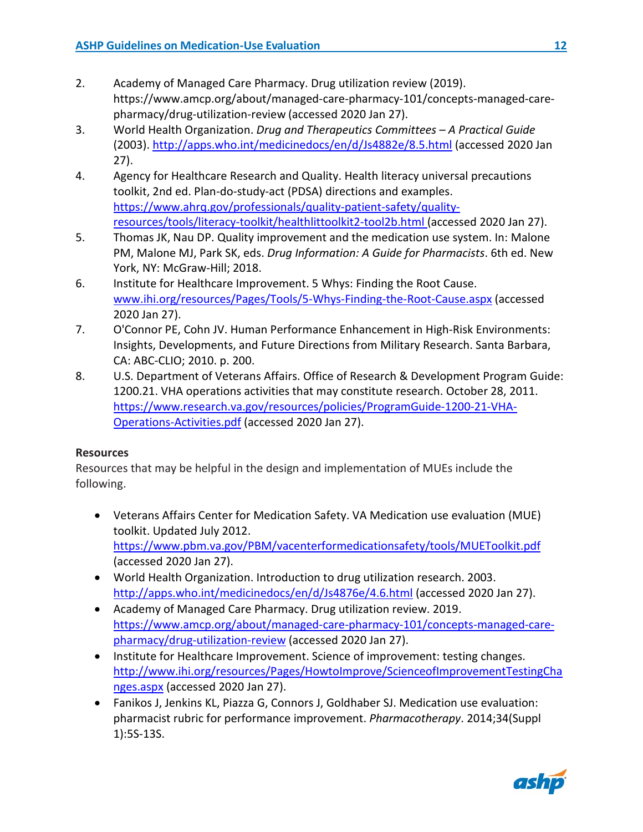- 2. Academy of Managed Care Pharmacy. Drug utilization review (2019). https://www.amcp.org/about/managed-care-pharmacy-101/concepts-managed-carepharmacy/drug-utilization-review (accessed 2020 Jan 27).
- 3. World Health Organization. *Drug and Therapeutics Committees – A Practical Guide*  (2003).<http://apps.who.int/medicinedocs/en/d/Js4882e/8.5.html> (accessed 2020 Jan 27).
- 4. Agency for Healthcare Research and Quality. Health literacy universal precautions toolkit, 2nd ed. Plan-do-study-act (PDSA) directions and examples. [https://www.ahrq.gov/professionals/quality-patient-safety/quality](https://www.ahrq.gov/professionals/quality-patient-safety/quality-resources/tools/literacy-toolkit/healthlittoolkit2-tool2b.html)[resources/tools/literacy-toolkit/healthlittoolkit2-tool2b.html](https://www.ahrq.gov/professionals/quality-patient-safety/quality-resources/tools/literacy-toolkit/healthlittoolkit2-tool2b.html) (accessed 2020 Jan 27).
- 5. Thomas JK, Nau DP. Quality improvement and the medication use system. In: Malone PM, Malone MJ, Park SK, eds. *Drug Information: A Guide for Pharmacists*. 6th ed. New York, NY: McGraw-Hill; 2018.
- 6. Institute for Healthcare Improvement. 5 Whys: Finding the Root Cause. [www.ihi.org/resources/Pages/Tools/5-Whys-Finding-the-Root-Cause.aspx](http://www.ihi.org/resources/Pages/Tools/5-Whys-Finding-the-Root-Cause.aspx) (accessed 2020 Jan 27).
- 7. O'Connor PE, Cohn JV. Human Performance Enhancement in High-Risk Environments: Insights, Developments, and Future Directions from Military Research. Santa Barbara, CA: ABC-CLIO; 2010. p. 200.
- 8. U.S. Department of Veterans Affairs. Office of Research & Development Program Guide: 1200.21. VHA operations activities that may constitute research. October 28, 2011. [https://www.research.va.gov/resources/policies/ProgramGuide-1200-21-VHA-](https://www.research.va.gov/resources/policies/ProgramGuide-1200-21-VHA-Operations-Activities.pdf)[Operations-Activities.pdf](https://www.research.va.gov/resources/policies/ProgramGuide-1200-21-VHA-Operations-Activities.pdf) (accessed 2020 Jan 27).

# **Resources**

Resources that may be helpful in the design and implementation of MUEs include the following.

- Veterans Affairs Center for Medication Safety. VA Medication use evaluation (MUE) toolkit. Updated July 2012. <https://www.pbm.va.gov/PBM/vacenterformedicationsafety/tools/MUEToolkit.pdf> (accessed 2020 Jan 27).
- World Health Organization. Introduction to drug utilization research. 2003. <http://apps.who.int/medicinedocs/en/d/Js4876e/4.6.html> (accessed 2020 Jan 27).
- Academy of Managed Care Pharmacy. Drug utilization review. 2019. [https://www.amcp.org/about/managed-care-pharmacy-101/concepts-managed-care](https://www.amcp.org/about/managed-care-pharmacy-101/concepts-managed-care-pharmacy/drug-utilization-review)[pharmacy/drug-utilization-review](https://www.amcp.org/about/managed-care-pharmacy-101/concepts-managed-care-pharmacy/drug-utilization-review) (accessed 2020 Jan 27).
- Institute for Healthcare Improvement. Science of improvement: testing changes. [http://www.ihi.org/resources/Pages/HowtoImprove/ScienceofImprovementTestingCha](http://www.ihi.org/resources/Pages/HowtoImprove/ScienceofImprovementTestingChanges.aspx) [nges.aspx](http://www.ihi.org/resources/Pages/HowtoImprove/ScienceofImprovementTestingChanges.aspx) (accessed 2020 Jan 27).
- Fanikos J, Jenkins KL, Piazza G, Connors J, Goldhaber SJ. Medication use evaluation: pharmacist rubric for performance improvement. *Pharmacotherapy*. 2014;34(Suppl 1):5S-13S.

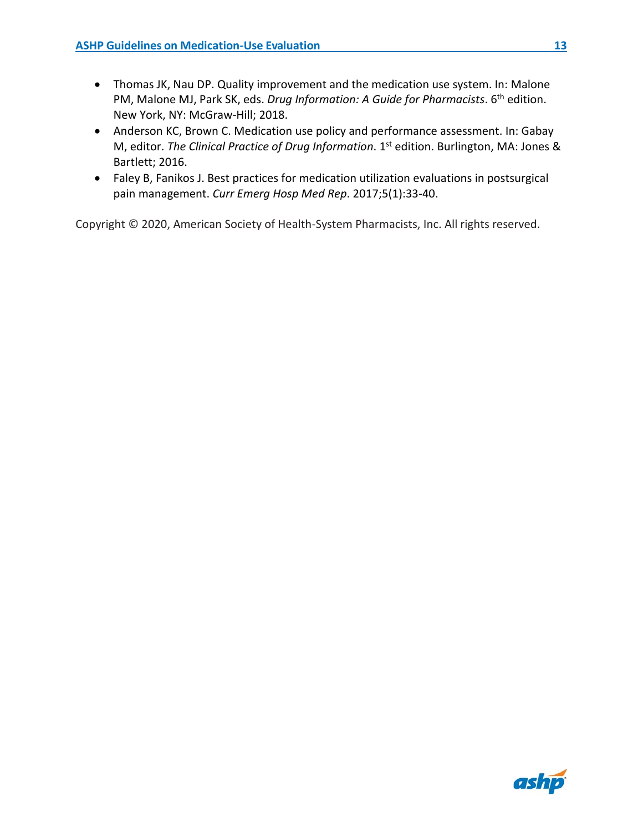- Thomas JK, Nau DP. Quality improvement and the medication use system. In: Malone PM, Malone MJ, Park SK, eds. *Drug Information: A Guide for Pharmacists*. 6<sup>th</sup> edition. New York, NY: McGraw-Hill; 2018.
- Anderson KC, Brown C. Medication use policy and performance assessment. In: Gabay M, editor. *The Clinical Practice of Drug Information*. 1st edition. Burlington, MA: Jones & Bartlett; 2016.
- Faley B, Fanikos J. Best practices for medication utilization evaluations in postsurgical pain management. *Curr Emerg Hosp Med Rep*. 2017;5(1):33-40.

Copyright © 2020, American Society of Health-System Pharmacists, Inc. All rights reserved.

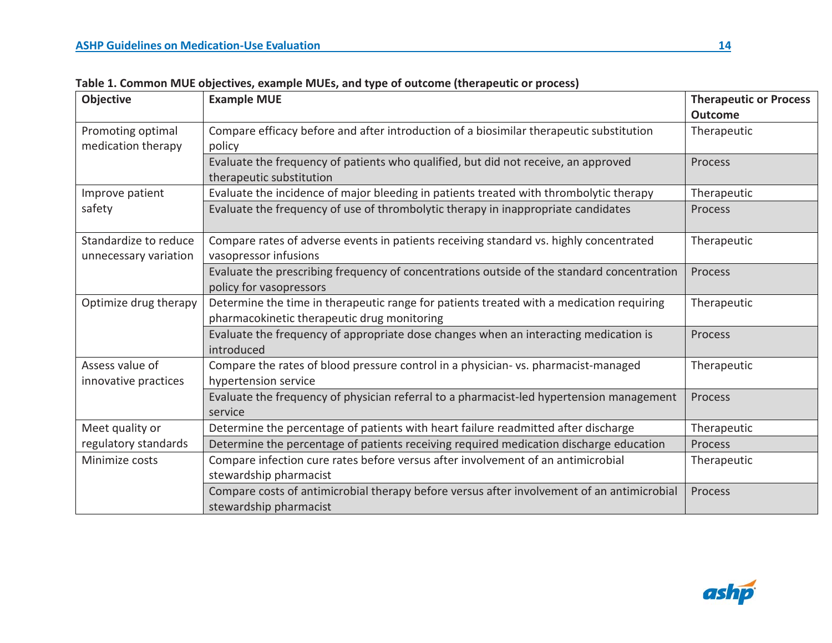| Objective             | <b>Example MUE</b>                                                                         | <b>Therapeutic or Process</b> |
|-----------------------|--------------------------------------------------------------------------------------------|-------------------------------|
|                       |                                                                                            | <b>Outcome</b>                |
| Promoting optimal     | Compare efficacy before and after introduction of a biosimilar therapeutic substitution    | Therapeutic                   |
| medication therapy    | policy                                                                                     |                               |
|                       | Evaluate the frequency of patients who qualified, but did not receive, an approved         | <b>Process</b>                |
|                       | therapeutic substitution                                                                   |                               |
| Improve patient       | Evaluate the incidence of major bleeding in patients treated with thrombolytic therapy     | Therapeutic                   |
| safety                | Evaluate the frequency of use of thrombolytic therapy in inappropriate candidates          | Process                       |
| Standardize to reduce | Compare rates of adverse events in patients receiving standard vs. highly concentrated     | Therapeutic                   |
| unnecessary variation | vasopressor infusions                                                                      |                               |
|                       | Evaluate the prescribing frequency of concentrations outside of the standard concentration | Process                       |
|                       | policy for vasopressors                                                                    |                               |
| Optimize drug therapy | Determine the time in therapeutic range for patients treated with a medication requiring   | Therapeutic                   |
|                       | pharmacokinetic therapeutic drug monitoring                                                |                               |
|                       | Evaluate the frequency of appropriate dose changes when an interacting medication is       | Process                       |
|                       | introduced                                                                                 |                               |
| Assess value of       | Compare the rates of blood pressure control in a physician-vs. pharmacist-managed          | Therapeutic                   |
| innovative practices  | hypertension service                                                                       |                               |
|                       | Evaluate the frequency of physician referral to a pharmacist-led hypertension management   | Process                       |
|                       | service                                                                                    |                               |
| Meet quality or       | Determine the percentage of patients with heart failure readmitted after discharge         | Therapeutic                   |
| regulatory standards  | Determine the percentage of patients receiving required medication discharge education     | Process                       |
| Minimize costs        | Compare infection cure rates before versus after involvement of an antimicrobial           | Therapeutic                   |
|                       | stewardship pharmacist                                                                     |                               |
|                       | Compare costs of antimicrobial therapy before versus after involvement of an antimicrobial | Process                       |
|                       | stewardship pharmacist                                                                     |                               |

**Table 1. Common MUE objectives, example MUEs, and type of outcome (therapeutic or process)**

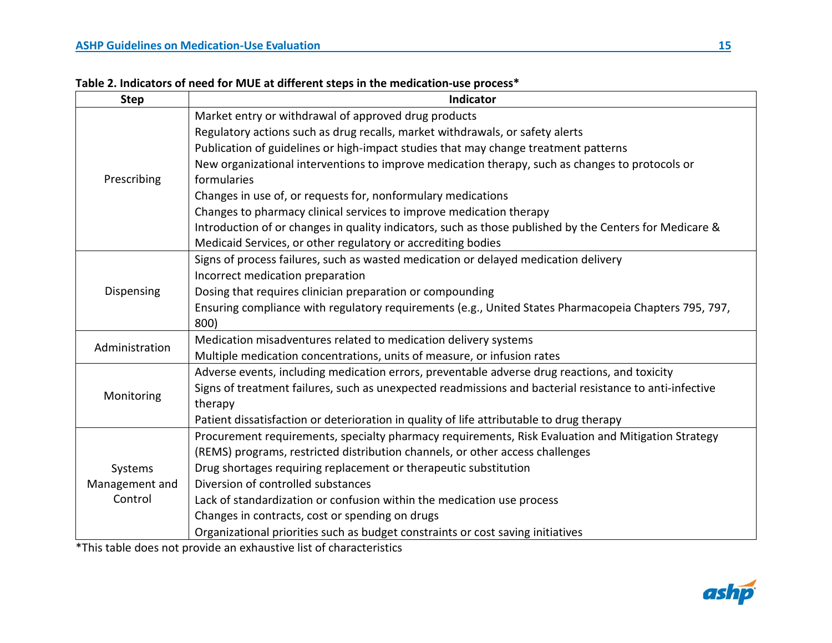|  | Table 2. Indicators of need for MUE at different steps in the medication-use process* |
|--|---------------------------------------------------------------------------------------|
|--|---------------------------------------------------------------------------------------|

| <b>Step</b>    | Indicator                                                                                               |
|----------------|---------------------------------------------------------------------------------------------------------|
|                | Market entry or withdrawal of approved drug products                                                    |
|                | Regulatory actions such as drug recalls, market withdrawals, or safety alerts                           |
|                | Publication of guidelines or high-impact studies that may change treatment patterns                     |
|                | New organizational interventions to improve medication therapy, such as changes to protocols or         |
| Prescribing    | formularies                                                                                             |
|                | Changes in use of, or requests for, nonformulary medications                                            |
|                | Changes to pharmacy clinical services to improve medication therapy                                     |
|                | Introduction of or changes in quality indicators, such as those published by the Centers for Medicare & |
|                | Medicaid Services, or other regulatory or accrediting bodies                                            |
|                | Signs of process failures, such as wasted medication or delayed medication delivery                     |
|                | Incorrect medication preparation                                                                        |
| Dispensing     | Dosing that requires clinician preparation or compounding                                               |
|                | Ensuring compliance with regulatory requirements (e.g., United States Pharmacopeia Chapters 795, 797,   |
|                | 800)                                                                                                    |
| Administration | Medication misadventures related to medication delivery systems                                         |
|                | Multiple medication concentrations, units of measure, or infusion rates                                 |
|                | Adverse events, including medication errors, preventable adverse drug reactions, and toxicity           |
| Monitoring     | Signs of treatment failures, such as unexpected readmissions and bacterial resistance to anti-infective |
|                | therapy                                                                                                 |
|                | Patient dissatisfaction or deterioration in quality of life attributable to drug therapy                |
|                | Procurement requirements, specialty pharmacy requirements, Risk Evaluation and Mitigation Strategy      |
|                | (REMS) programs, restricted distribution channels, or other access challenges                           |
| Systems        | Drug shortages requiring replacement or therapeutic substitution                                        |
| Management and | Diversion of controlled substances                                                                      |
| Control        | Lack of standardization or confusion within the medication use process                                  |
|                | Changes in contracts, cost or spending on drugs                                                         |
|                | Organizational priorities such as budget constraints or cost saving initiatives                         |

\*This table does not provide an exhaustive list of characteristics

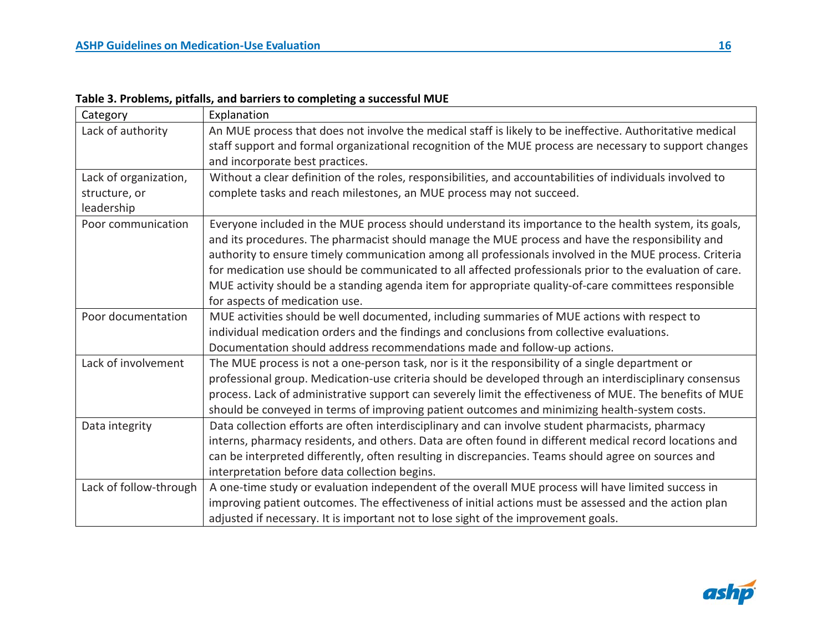| Category               | Explanation                                                                                                |
|------------------------|------------------------------------------------------------------------------------------------------------|
| Lack of authority      | An MUE process that does not involve the medical staff is likely to be ineffective. Authoritative medical  |
|                        | staff support and formal organizational recognition of the MUE process are necessary to support changes    |
|                        | and incorporate best practices.                                                                            |
| Lack of organization,  | Without a clear definition of the roles, responsibilities, and accountabilities of individuals involved to |
| structure, or          | complete tasks and reach milestones, an MUE process may not succeed.                                       |
| leadership             |                                                                                                            |
| Poor communication     | Everyone included in the MUE process should understand its importance to the health system, its goals,     |
|                        | and its procedures. The pharmacist should manage the MUE process and have the responsibility and           |
|                        | authority to ensure timely communication among all professionals involved in the MUE process. Criteria     |
|                        | for medication use should be communicated to all affected professionals prior to the evaluation of care.   |
|                        | MUE activity should be a standing agenda item for appropriate quality-of-care committees responsible       |
|                        | for aspects of medication use.                                                                             |
| Poor documentation     | MUE activities should be well documented, including summaries of MUE actions with respect to               |
|                        | individual medication orders and the findings and conclusions from collective evaluations.                 |
|                        | Documentation should address recommendations made and follow-up actions.                                   |
| Lack of involvement    | The MUE process is not a one-person task, nor is it the responsibility of a single department or           |
|                        | professional group. Medication-use criteria should be developed through an interdisciplinary consensus     |
|                        | process. Lack of administrative support can severely limit the effectiveness of MUE. The benefits of MUE   |
|                        | should be conveyed in terms of improving patient outcomes and minimizing health-system costs.              |
| Data integrity         | Data collection efforts are often interdisciplinary and can involve student pharmacists, pharmacy          |
|                        | interns, pharmacy residents, and others. Data are often found in different medical record locations and    |
|                        | can be interpreted differently, often resulting in discrepancies. Teams should agree on sources and        |
|                        | interpretation before data collection begins.                                                              |
| Lack of follow-through | A one-time study or evaluation independent of the overall MUE process will have limited success in         |
|                        | improving patient outcomes. The effectiveness of initial actions must be assessed and the action plan      |
|                        | adjusted if necessary. It is important not to lose sight of the improvement goals.                         |

**Table 3. Problems, pitfalls, and barriers to completing a successful MUE**

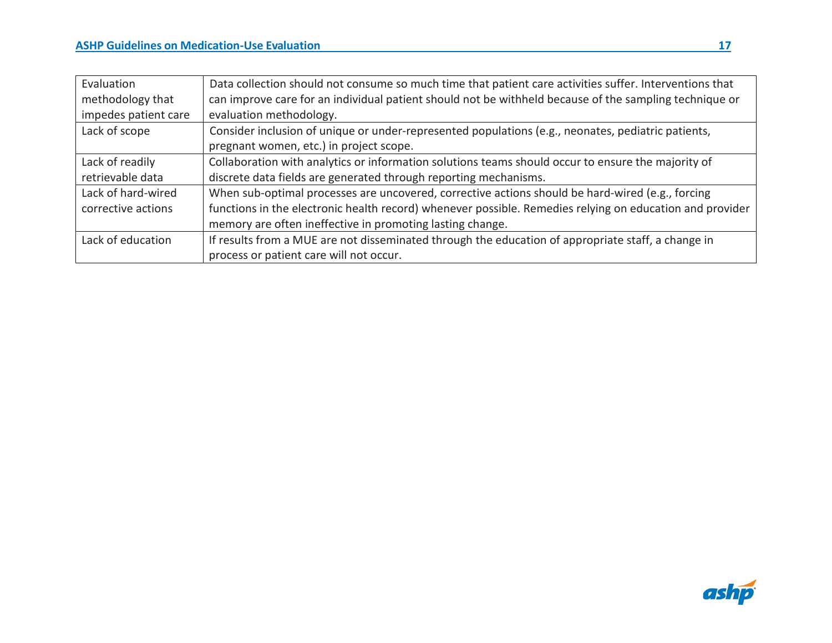| Evaluation           | Data collection should not consume so much time that patient care activities suffer. Interventions that  |
|----------------------|----------------------------------------------------------------------------------------------------------|
| methodology that     | can improve care for an individual patient should not be withheld because of the sampling technique or   |
| impedes patient care | evaluation methodology.                                                                                  |
| Lack of scope        | Consider inclusion of unique or under-represented populations (e.g., neonates, pediatric patients,       |
|                      | pregnant women, etc.) in project scope.                                                                  |
| Lack of readily      | Collaboration with analytics or information solutions teams should occur to ensure the majority of       |
| retrievable data     | discrete data fields are generated through reporting mechanisms.                                         |
| Lack of hard-wired   | When sub-optimal processes are uncovered, corrective actions should be hard-wired (e.g., forcing         |
| corrective actions   | functions in the electronic health record) whenever possible. Remedies relying on education and provider |
|                      | memory are often ineffective in promoting lasting change.                                                |
| Lack of education    | If results from a MUE are not disseminated through the education of appropriate staff, a change in       |
|                      | process or patient care will not occur.                                                                  |